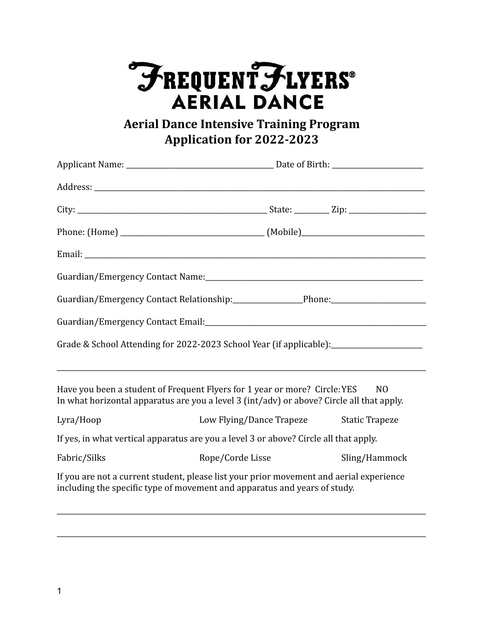## FREQUENTFLYERS®

**Aerial Dance Intensive Training Program Application for 2022-2023**

| Guardian/Emergency Contact Relationship:_____________________Phone:______________                                                                                          |                                         |               |  |
|----------------------------------------------------------------------------------------------------------------------------------------------------------------------------|-----------------------------------------|---------------|--|
|                                                                                                                                                                            |                                         |               |  |
| Grade & School Attending for 2022-2023 School Year (if applicable): ____________________                                                                                   |                                         |               |  |
| Have you been a student of Frequent Flyers for 1 year or more? Circle: YES NO<br>In what horizontal apparatus are you a level 3 (int/adv) or above? Circle all that apply. |                                         |               |  |
| Lyra/Hoop                                                                                                                                                                  | Low Flying/Dance Trapeze Static Trapeze |               |  |
| If yes, in what vertical apparatus are you a level 3 or above? Circle all that apply.                                                                                      |                                         |               |  |
| Fabric/Silks                                                                                                                                                               | Rope/Corde Lisse                        | Sling/Hammock |  |
| If you are not a current student, please list your prior movement and aerial experience<br>including the specific type of movement and apparatus and years of study.       |                                         |               |  |

\_\_\_\_\_\_\_\_\_\_\_\_\_\_\_\_\_\_\_\_\_\_\_\_\_\_\_\_\_\_\_\_\_\_\_\_\_\_\_\_\_\_\_\_\_\_\_\_\_\_\_\_\_\_\_\_\_\_\_\_\_\_\_\_\_\_\_\_\_\_\_\_\_\_\_\_\_\_\_\_\_\_\_\_\_\_\_\_\_\_\_\_\_\_\_\_\_\_\_\_\_\_\_\_\_

\_\_\_\_\_\_\_\_\_\_\_\_\_\_\_\_\_\_\_\_\_\_\_\_\_\_\_\_\_\_\_\_\_\_\_\_\_\_\_\_\_\_\_\_\_\_\_\_\_\_\_\_\_\_\_\_\_\_\_\_\_\_\_\_\_\_\_\_\_\_\_\_\_\_\_\_\_\_\_\_\_\_\_\_\_\_\_\_\_\_\_\_\_\_\_\_\_\_\_\_\_\_\_\_\_